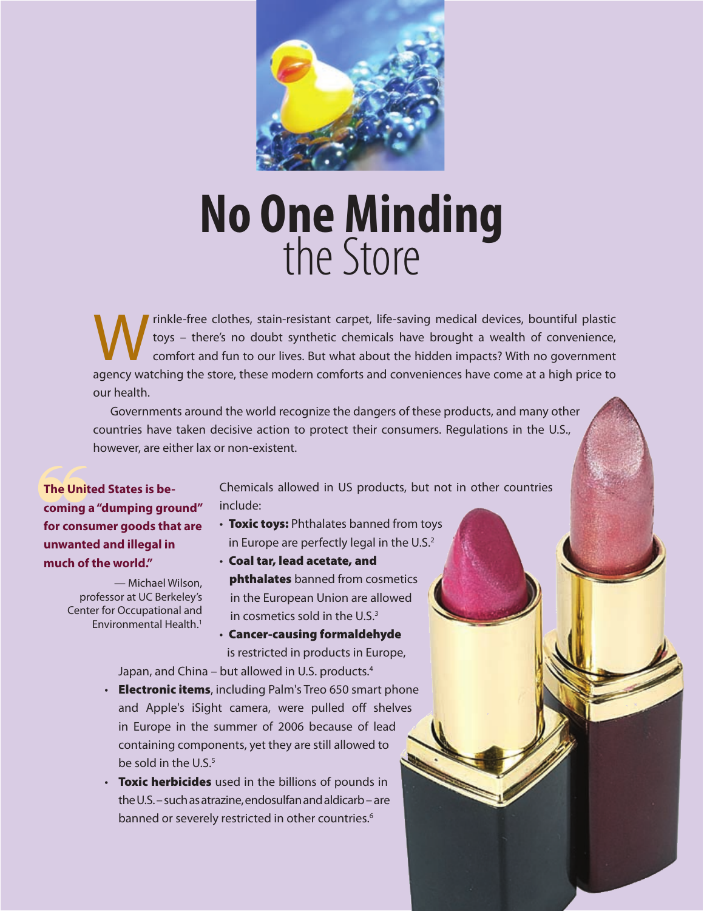

# **No One Minding**<br>the Store

We rinkle-free clothes, stain-resistant carpet, life-saving medical devices, bountiful plastic<br>toys – there's no doubt synthetic chemicals have brought a wealth of convenience,<br>comfort and fun to our lives. But what about toys – there's no doubt synthetic chemicals have brought a wealth of convenience, comfort and fun to our lives. But what about the hidden impacts? With no government agency watching the store, these modern comforts and conveniences have come at a high price to our health.

Governments around the world recognize the dangers of these products, and many other countries have taken decisive action to protect their consumers. Regulations in the U.S., however, are either lax or non-existent.

**follow The United States is becoming a "dumping ground"**<br> **for consumer goods that are The United States is becoming a "dumping ground" unwanted and illegal in much of the world."** 

> — Michael Wilson, professor at UC Berkeley's Center for Occupational and Environmental Health<sup>1</sup>

Chemicals allowed in US products, but not in other countries include:

- Toxic toys: Phthalates banned from toys in Europe are perfectly legal in the U.S.<sup>2</sup>
- Coal tar, lead acetate, and **phthalates** banned from cosmetics in the European Union are allowed in cosmetics sold in the  $U.S.<sup>3</sup>$
- Cancer-causing formaldehyde is restricted in products in Europe,

Japan, and China – but allowed in U.S. products.<sup>4</sup>

- Electronic items, including Palm's Treo 650 smart phone and Apple's iSight camera, were pulled off shelves in Europe in the summer of 2006 because of lead containing components, yet they are still allowed to be sold in the U.S.<sup>5</sup>
- Toxic herbicides used in the billions of pounds in the U.S. – such as atrazine, endosulfan and aldicarb – are banned or severely restricted in other countries.<sup>6</sup>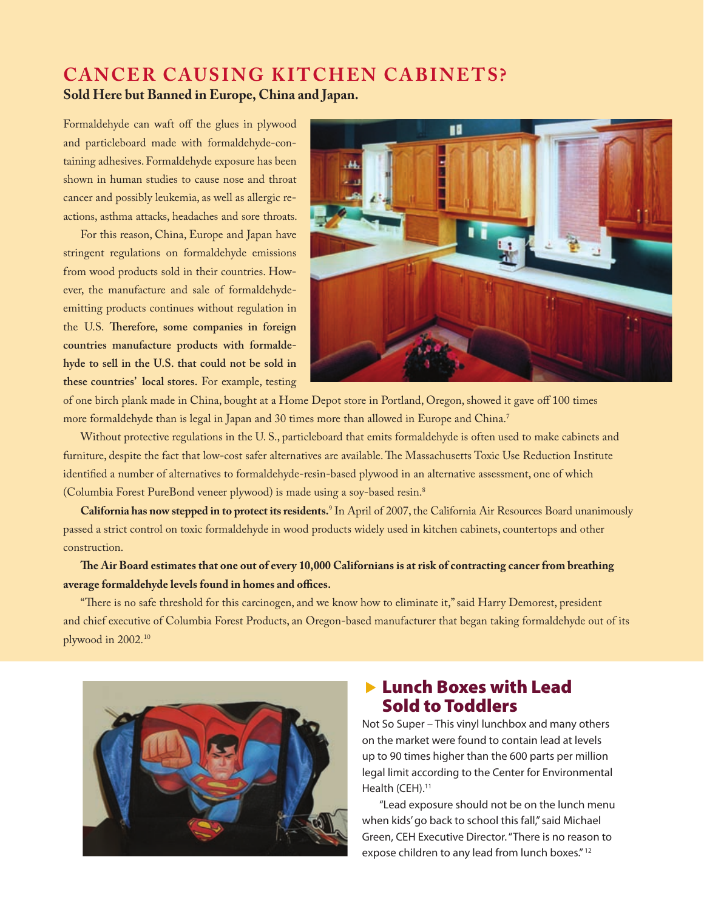#### **CANCER CAUSING KITCHEN CABINETS? Sold Here but Banned in Europe, China and Japan.**

Formaldehyde can waft off the glues in plywood and particleboard made with formaldehyde-containing adhesives. Formaldehyde exposure has been shown in human studies to cause nose and throat cancer and possibly leukemia, as well as allergic reactions, asthma attacks, headaches and sore throats.

For this reason, China, Europe and Japan have stringent regulations on formaldehyde emissions from wood products sold in their countries. However, the manufacture and sale of formaldehydeemitting products continues without regulation in the U.S. **Therefore, some companies in foreign countries manufacture products with formaldehyde to sell in the U.S. that could not be sold in these countries' local stores.** For example, testing



of one birch plank made in China, bought at a Home Depot store in Portland, Oregon, showed it gave off 100 times more formaldehyde than is legal in Japan and 30 times more than allowed in Europe and China.<sup>7</sup>

Without protective regulations in the U. S., particleboard that emits formaldehyde is often used to make cabinets and furniture, despite the fact that low-cost safer alternatives are available. The Massachusetts Toxic Use Reduction Institute identified a number of alternatives to formaldehyde-resin-based plywood in an alternative assessment, one of which (Columbia Forest PureBond veneer plywood) is made using a soy-based resin.8

**California has now stepped in to protect its residents.** <sup>9</sup> In April of 2007, the California Air Resources Board unanimously passed a strict control on toxic formaldehyde in wood products widely used in kitchen cabinets, countertops and other construction.

**The Air Board estimates that one out of every 10,000 Californians is at risk of contracting cancer from breathing average formaldehyde levels found in homes and offices.**

"There is no safe threshold for this carcinogen, and we know how to eliminate it," said Harry Demorest, president and chief executive of Columbia Forest Products, an Oregon-based manufacturer that began taking formaldehyde out of its plywood in 2002.<sup>10</sup>



#### **Exercise Exercise Source Exercise Lead** Sold to Toddlers

Not So Super – This vinyl lunchbox and many others on the market were found to contain lead at levels up to 90 times higher than the 600 parts per million legal limit according to the Center for Environmental Health (CEH).<sup>11</sup>

"Lead exposure should not be on the lunch menu when kids' go back to school this fall," said Michael Green, CEH Executive Director. "There is no reason to expose children to any lead from lunch boxes." 12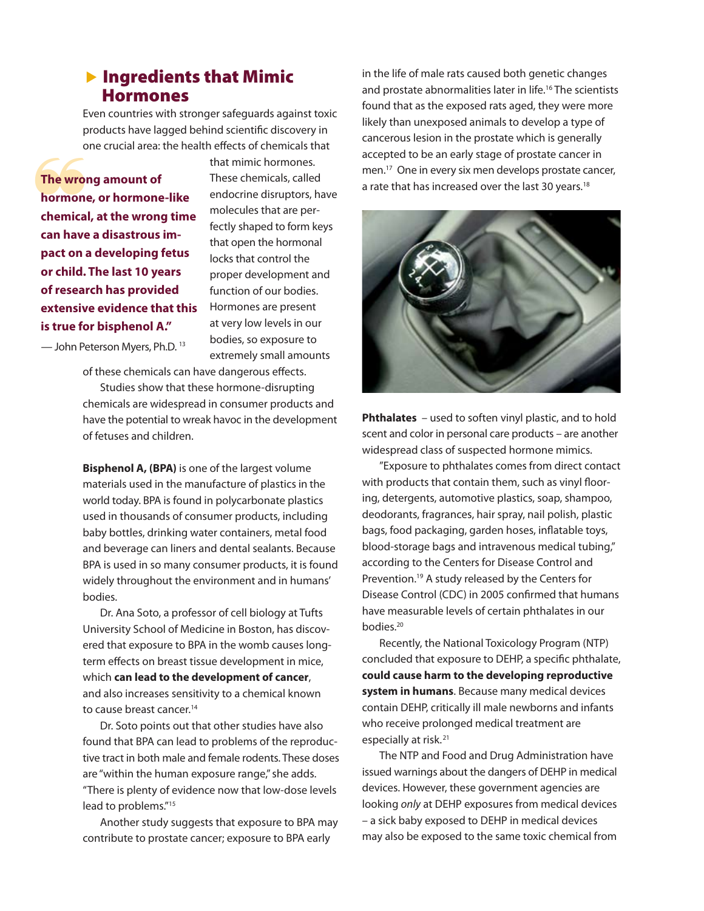#### $\blacktriangleright$  Ingredients that Mimic Hormones

Even countries with stronger safeguards against toxic products have lagged behind scientific discovery in one crucial area: the health effects of chemicals that

**The wrong amount of hormone, or hormone-like chemical, at the wrong time can have a disastrous impact on a developing fetus or child. The last 10 years of research has provided extensive evidence that this is true for bisphenol A."** 

that mimic hormones. These chemicals, called endocrine disruptors, have molecules that are perfectly shaped to form keys that open the hormonal locks that control the proper development and function of our bodies. Hormones are present at very low levels in our bodies, so exposure to extremely small amounts

— John Peterson Myers, Ph.D. 13

of these chemicals can have dangerous effects. Studies show that these hormone-disrupting chemicals are widespread in consumer products and have the potential to wreak havoc in the development of fetuses and children.

**Bisphenol A, (BPA)** is one of the largest volume materials used in the manufacture of plastics in the world today. BPA is found in polycarbonate plastics used in thousands of consumer products, including baby bottles, drinking water containers, metal food and beverage can liners and dental sealants. Because BPA is used in so many consumer products, it is found widely throughout the environment and in humans' bodies.

Dr. Ana Soto, a professor of cell biology at Tufts University School of Medicine in Boston, has discovered that exposure to BPA in the womb causes longterm effects on breast tissue development in mice, which **can lead to the development of cancer**, and also increases sensitivity to a chemical known to cause breast cancer.<sup>14</sup>

Dr. Soto points out that other studies have also found that BPA can lead to problems of the reproductive tract in both male and female rodents. These doses are "within the human exposure range," she adds. "There is plenty of evidence now that low-dose levels lead to problems."15

Another study suggests that exposure to BPA may contribute to prostate cancer; exposure to BPA early

in the life of male rats caused both genetic changes and prostate abnormalities later in life.<sup>16</sup> The scientists found that as the exposed rats aged, they were more likely than unexposed animals to develop a type of cancerous lesion in the prostate which is generally accepted to be an early stage of prostate cancer in men.<sup>17</sup> One in every six men develops prostate cancer, The wrong amount of<br>
that mimic hormones.<br>
The wrong amount of<br>
These chemicals, called<br>
that has increased over the last 30 years.<sup>18</sup><br>
a rate that has increased over the last 30 years.<sup>18</sup><br>
chemical, at the wrong time<br>
f



**Phthalates** – used to soften vinyl plastic, and to hold scent and color in personal care products – are another widespread class of suspected hormone mimics.

"Exposure to phthalates comes from direct contact with products that contain them, such as vinyl flooring, detergents, automotive plastics, soap, shampoo, deodorants, fragrances, hair spray, nail polish, plastic bags, food packaging, garden hoses, inflatable toys, blood-storage bags and intravenous medical tubing," according to the Centers for Disease Control and Prevention.<sup>19</sup> A study released by the Centers for Disease Control (CDC) in 2005 confirmed that humans have measurable levels of certain phthalates in our bodies.20

Recently, the National Toxicology Program (NTP) concluded that exposure to DEHP, a specific phthalate, **could cause harm to the developing reproductive system in humans**. Because many medical devices contain DEHP, critically ill male newborns and infants who receive prolonged medical treatment are especially at risk.<sup>21</sup>

The NTP and Food and Drug Administration have issued warnings about the dangers of DEHP in medical devices. However, these government agencies are looking *only* at DEHP exposures from medical devices – a sick baby exposed to DEHP in medical devices may also be exposed to the same toxic chemical from